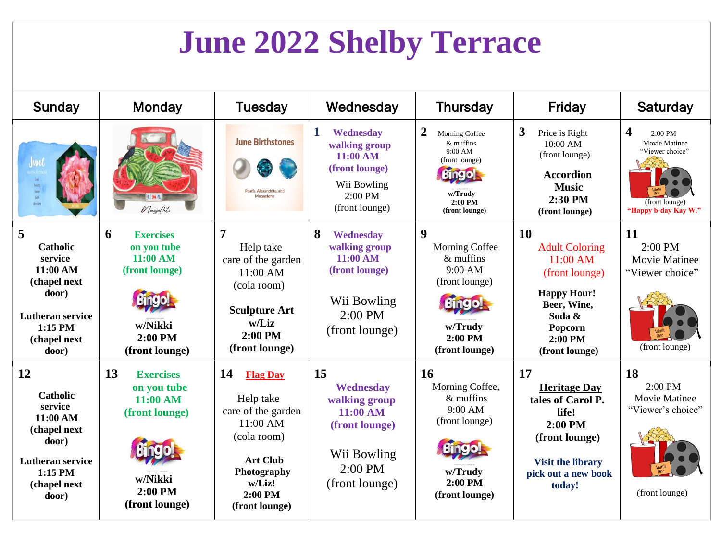## **June 2022 Shelby Terrace**

| Sunday                                                                                                                                  | Monday                                                                                                      | Tuesday                                                                                                                                                      | Wednesday                                                                                                    | <b>Thursday</b>                                                                                                                           | Friday                                                                                                                                                  | Saturday                                                                                                           |
|-----------------------------------------------------------------------------------------------------------------------------------------|-------------------------------------------------------------------------------------------------------------|--------------------------------------------------------------------------------------------------------------------------------------------------------------|--------------------------------------------------------------------------------------------------------------|-------------------------------------------------------------------------------------------------------------------------------------------|---------------------------------------------------------------------------------------------------------------------------------------------------------|--------------------------------------------------------------------------------------------------------------------|
| June<br>bouty<br>honor<br>faith<br>devotion                                                                                             | 1 Vareya Arts                                                                                               | <b>June Birthstones</b><br><b>Pearls Alexandrite and</b><br>Moonstone                                                                                        | 1<br>Wednesday<br>walking group<br>11:00 AM<br>(front lounge)<br>Wii Bowling<br>$2:00$ PM<br>(front lounge)  | $\boldsymbol{2}$<br>Morning Coffee<br>$&$ muffins<br>9:00 AM<br>(front lounge)<br><b>Bingo!</b><br>w/Trudv<br>$2:00$ PM<br>(front lounge) | 3<br>Price is Right<br>10:00 AM<br>(front lounge)<br><b>Accordion</b><br><b>Music</b><br>2:30 PM<br>(front lounge)                                      | $\overline{\mathbf{4}}$<br>$2:00$ PM<br>Movie Matinee<br>"Viewer choice"<br>(front lounge)<br>"Happy b-day Kay W." |
| 5<br><b>Catholic</b><br>service<br>11:00 AM<br>(chapel next<br>door)<br><b>Lutheran service</b><br>$1:15$ PM<br>(chapel next<br>door)   | 6<br><b>Exercises</b><br>on you tube<br>11:00 AM<br>(front lounge)<br>w/Nikki<br>2:00 PM<br>(front lounge)  | 7<br>Help take<br>care of the garden<br>$11:00$ AM<br>(cola room)<br><b>Sculpture Art</b><br>w/Liz<br>2:00 PM<br>(front lounge)                              | 8<br>Wednesday<br>walking group<br>11:00 AM<br>(front lounge)<br>Wii Bowling<br>$2:00$ PM<br>(front lounge)  | 9<br>Morning Coffee<br>$&$ muffins<br>9:00 AM<br>(front lounge)<br><b>Bingo</b><br>w/Trudy<br>$2:00$ PM<br>(front lounge)                 | <b>10</b><br><b>Adult Coloring</b><br>11:00 AM<br>(front lounge)<br><b>Happy Hour!</b><br>Beer, Wine,<br>Soda &<br>Popcorn<br>2:00 PM<br>(front lounge) | 11<br>2:00 PM<br><b>Movie Matinee</b><br>"Viewer choice"<br>(front lounge)                                         |
| 12<br><b>Catholic</b><br>service<br>11:00 AM<br>(chapel next<br>door)<br><b>Lutheran service</b><br>$1:15$ PM<br>(chapel next)<br>door) | 13<br><b>Exercises</b><br>on you tube<br>11:00 AM<br>(front lounge)<br>w/Nikki<br>2:00 PM<br>(front lounge) | 14<br><b>Flag Day</b><br>Help take<br>care of the garden<br>11:00 AM<br>(cola room)<br><b>Art Club</b><br>Photography<br>w/Liz!<br>2:00 PM<br>(front lounge) | 15<br>Wednesday<br>walking group<br>11:00 AM<br>(front lounge)<br>Wii Bowling<br>$2:00$ PM<br>(front lounge) | <b>16</b><br>Morning Coffee,<br>$&$ muffins<br>9:00 AM<br>(front lounge)<br>w/Trudy<br>2:00 PM<br>(front lounge)                          | 17<br><b>Heritage Day</b><br>tales of Carol P.<br>life!<br>$2:00$ PM<br>(front lounge)<br><b>Visit the library</b><br>pick out a new book<br>today!     | 18<br>2:00 PM<br><b>Movie Matinee</b><br>"Viewer's choice"<br>(front lounge)                                       |